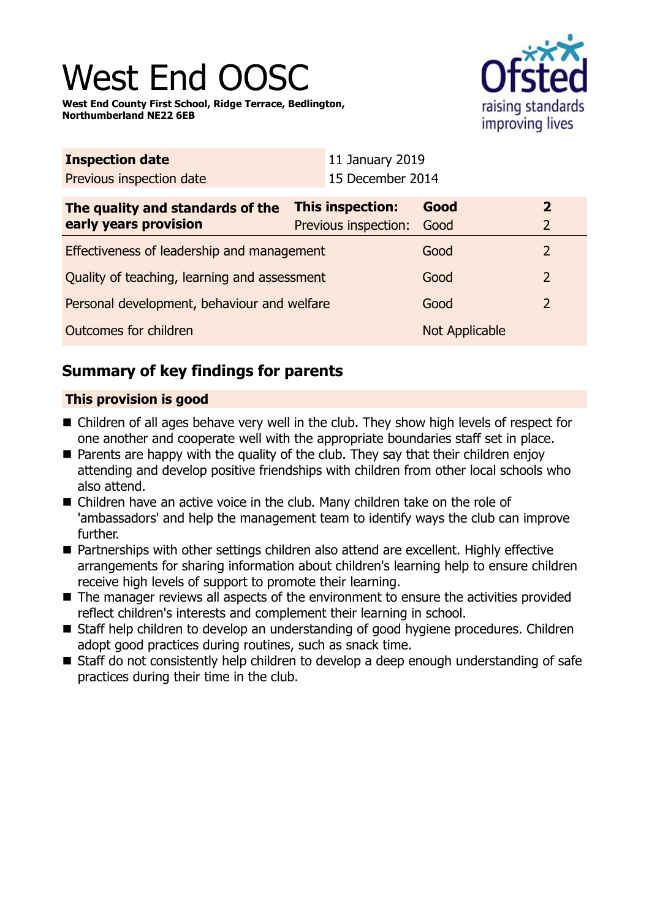# West End OOS

**West End County First School, Ridge Terrace, Bedlington, Northumberland NE22 6EB**



| <b>Inspection date</b>                       |  | 11 January 2019      |                |                |
|----------------------------------------------|--|----------------------|----------------|----------------|
| Previous inspection date                     |  | 15 December 2014     |                |                |
| The quality and standards of the             |  | This inspection:     | Good           | $\mathbf{2}$   |
| early years provision                        |  | Previous inspection: | Good           | $\overline{2}$ |
| Effectiveness of leadership and management   |  |                      | Good           | $\overline{2}$ |
| Quality of teaching, learning and assessment |  |                      | Good           | $\overline{2}$ |
| Personal development, behaviour and welfare  |  |                      | Good           | $\overline{2}$ |
| Outcomes for children                        |  |                      | Not Applicable |                |

# **Summary of key findings for parents**

## **This provision is good**

- Children of all ages behave very well in the club. They show high levels of respect for one another and cooperate well with the appropriate boundaries staff set in place.
- $\blacksquare$  Parents are happy with the quality of the club. They say that their children enjoy attending and develop positive friendships with children from other local schools who also attend.
- Children have an active voice in the club. Many children take on the role of 'ambassadors' and help the management team to identify ways the club can improve further.
- Partnerships with other settings children also attend are excellent. Highly effective arrangements for sharing information about children's learning help to ensure children receive high levels of support to promote their learning.
- $\blacksquare$  The manager reviews all aspects of the environment to ensure the activities provided reflect children's interests and complement their learning in school.
- Staff help children to develop an understanding of good hygiene procedures. Children adopt good practices during routines, such as snack time.
- Staff do not consistently help children to develop a deep enough understanding of safe practices during their time in the club.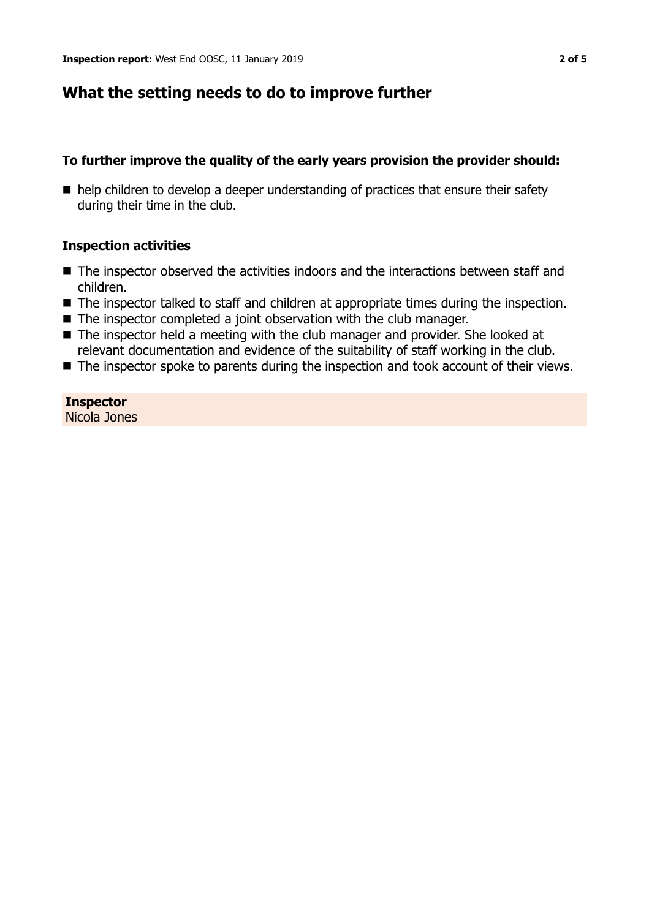## **What the setting needs to do to improve further**

#### **To further improve the quality of the early years provision the provider should:**

 $\blacksquare$  help children to develop a deeper understanding of practices that ensure their safety during their time in the club.

### **Inspection activities**

- $\blacksquare$  The inspector observed the activities indoors and the interactions between staff and children.
- The inspector talked to staff and children at appropriate times during the inspection.
- $\blacksquare$  The inspector completed a joint observation with the club manager.
- $\blacksquare$  The inspector held a meeting with the club manager and provider. She looked at relevant documentation and evidence of the suitability of staff working in the club.
- $\blacksquare$  The inspector spoke to parents during the inspection and took account of their views.

**Inspector** Nicola Jones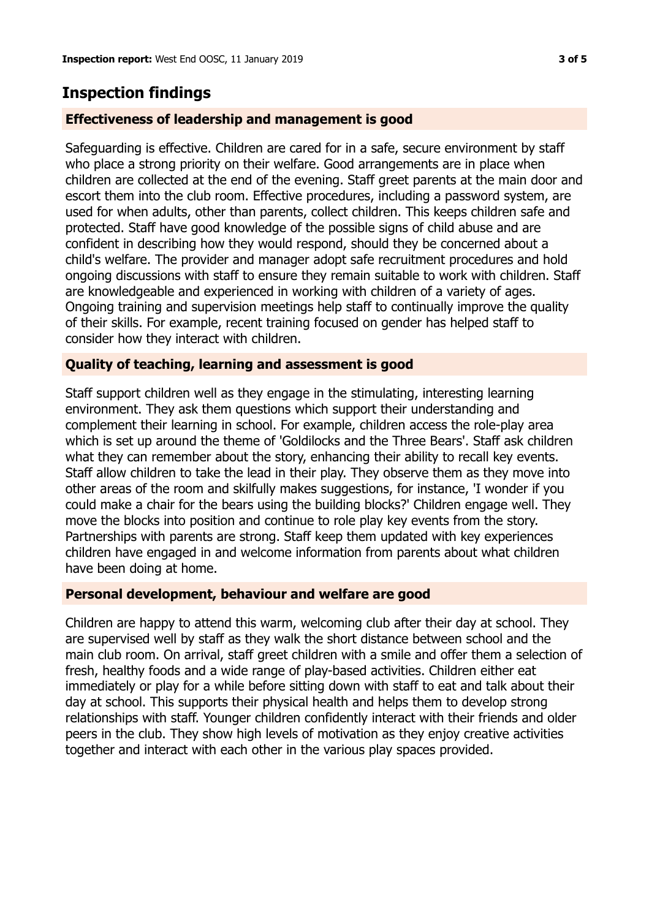## **Inspection findings**

## **Effectiveness of leadership and management is good**

Safeguarding is effective. Children are cared for in a safe, secure environment by staff who place a strong priority on their welfare. Good arrangements are in place when children are collected at the end of the evening. Staff greet parents at the main door and escort them into the club room. Effective procedures, including a password system, are used for when adults, other than parents, collect children. This keeps children safe and protected. Staff have good knowledge of the possible signs of child abuse and are confident in describing how they would respond, should they be concerned about a child's welfare. The provider and manager adopt safe recruitment procedures and hold ongoing discussions with staff to ensure they remain suitable to work with children. Staff are knowledgeable and experienced in working with children of a variety of ages. Ongoing training and supervision meetings help staff to continually improve the quality of their skills. For example, recent training focused on gender has helped staff to consider how they interact with children.

### **Quality of teaching, learning and assessment is good**

Staff support children well as they engage in the stimulating, interesting learning environment. They ask them questions which support their understanding and complement their learning in school. For example, children access the role-play area which is set up around the theme of 'Goldilocks and the Three Bears'. Staff ask children what they can remember about the story, enhancing their ability to recall key events. Staff allow children to take the lead in their play. They observe them as they move into other areas of the room and skilfully makes suggestions, for instance, 'I wonder if you could make a chair for the bears using the building blocks?' Children engage well. They move the blocks into position and continue to role play key events from the story. Partnerships with parents are strong. Staff keep them updated with key experiences children have engaged in and welcome information from parents about what children have been doing at home.

#### **Personal development, behaviour and welfare are good**

Children are happy to attend this warm, welcoming club after their day at school. They are supervised well by staff as they walk the short distance between school and the main club room. On arrival, staff greet children with a smile and offer them a selection of fresh, healthy foods and a wide range of play-based activities. Children either eat immediately or play for a while before sitting down with staff to eat and talk about their day at school. This supports their physical health and helps them to develop strong relationships with staff. Younger children confidently interact with their friends and older peers in the club. They show high levels of motivation as they enjoy creative activities together and interact with each other in the various play spaces provided.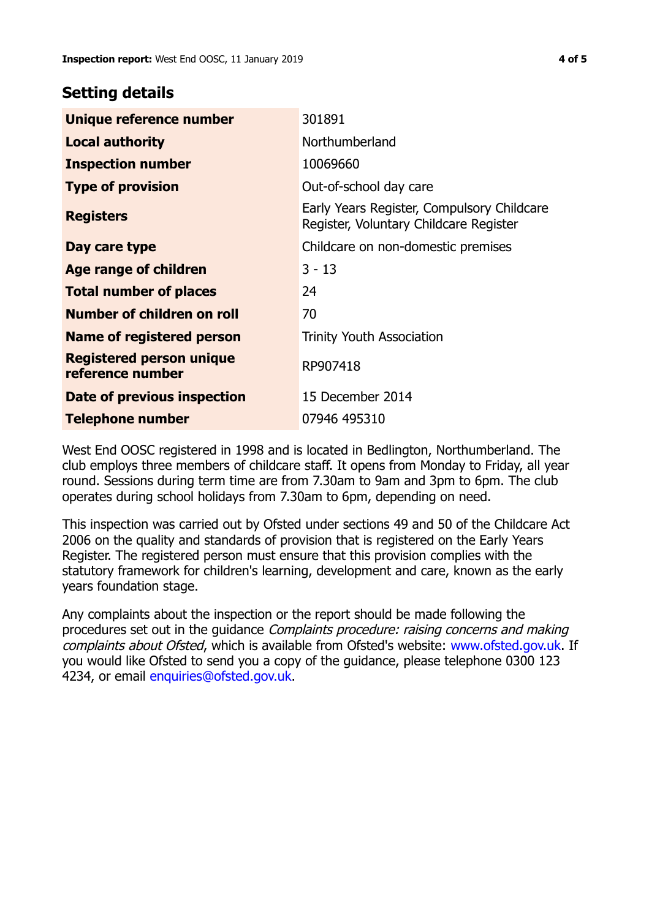## **Setting details**

| Unique reference number                      | 301891                                                                               |  |
|----------------------------------------------|--------------------------------------------------------------------------------------|--|
| <b>Local authority</b>                       | Northumberland                                                                       |  |
| <b>Inspection number</b>                     | 10069660                                                                             |  |
| <b>Type of provision</b>                     | Out-of-school day care                                                               |  |
| <b>Registers</b>                             | Early Years Register, Compulsory Childcare<br>Register, Voluntary Childcare Register |  |
| Day care type                                | Childcare on non-domestic premises                                                   |  |
| <b>Age range of children</b>                 | $3 - 13$                                                                             |  |
| <b>Total number of places</b>                | 24                                                                                   |  |
| Number of children on roll                   | 70                                                                                   |  |
| Name of registered person                    | <b>Trinity Youth Association</b>                                                     |  |
| Registered person unique<br>reference number | RP907418                                                                             |  |
| Date of previous inspection                  | 15 December 2014                                                                     |  |
| <b>Telephone number</b>                      | 07946 495310                                                                         |  |

West End OOSC registered in 1998 and is located in Bedlington, Northumberland. The club employs three members of childcare staff. It opens from Monday to Friday, all year round. Sessions during term time are from 7.30am to 9am and 3pm to 6pm. The club operates during school holidays from 7.30am to 6pm, depending on need.

This inspection was carried out by Ofsted under sections 49 and 50 of the Childcare Act 2006 on the quality and standards of provision that is registered on the Early Years Register. The registered person must ensure that this provision complies with the statutory framework for children's learning, development and care, known as the early years foundation stage.

Any complaints about the inspection or the report should be made following the procedures set out in the quidance *Complaints procedure: raising concerns and making* complaints about Ofsted, which is available from Ofsted's website: www.ofsted.gov.uk. If you would like Ofsted to send you a copy of the guidance, please telephone 0300 123 4234, or email [enquiries@ofsted.gov.uk.](mailto:enquiries@ofsted.gov.uk)